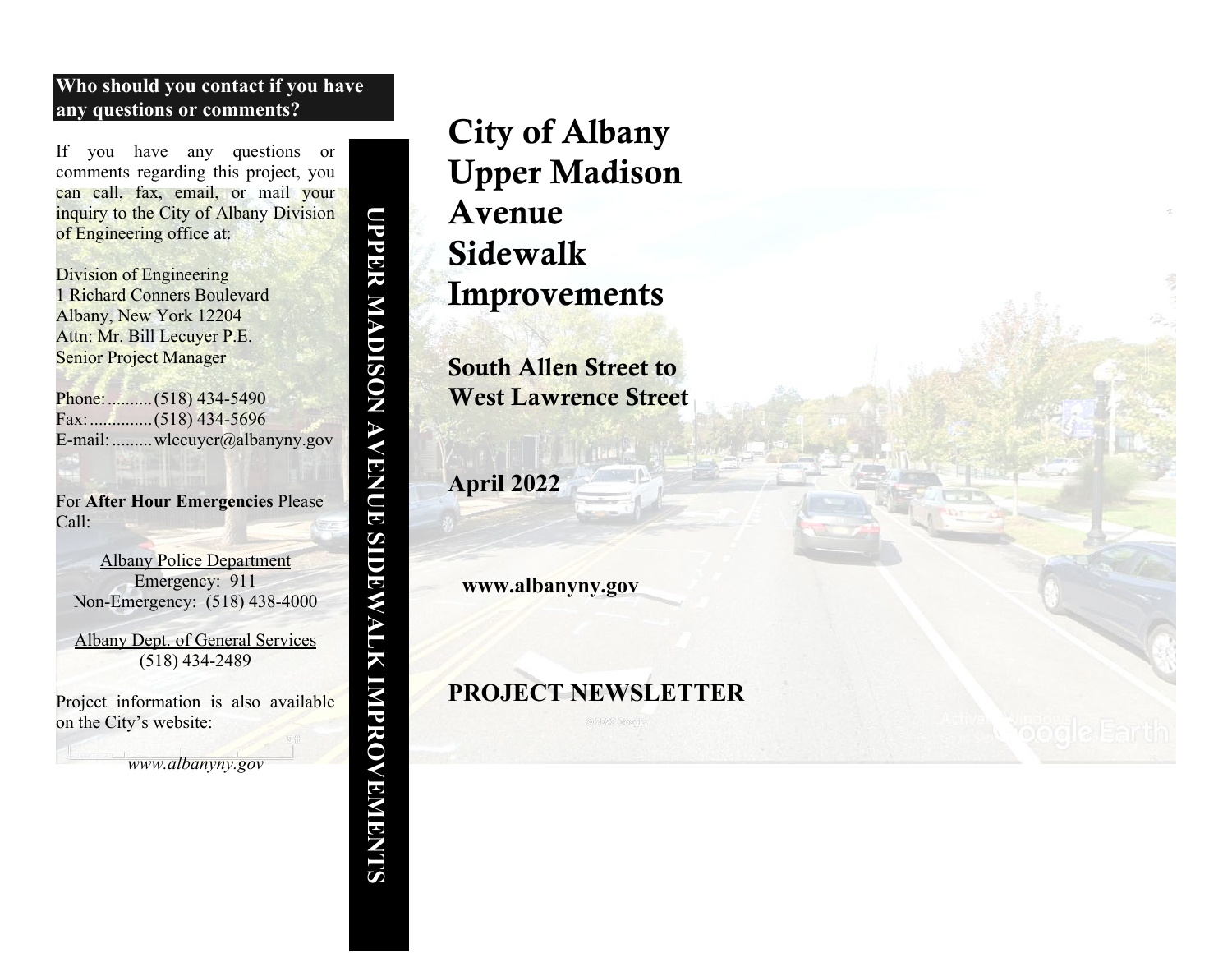### **Who should you contact if you have any questions or comments?**

If you have any questions or comments regarding this project, you can call, fax, email, or mail your inquiry to the City of Albany Division of Engineering office at:

Division of Engineering 1 Richard Conners Boulevard Albany, New York 12204 Attn: Mr. Bill Lecuyer P.E. Senior Project Manager

Phone:..........(518) 434-5490 Fax:..............(518) 434-5696 E-mail:.........wlecuyer@albanyny.gov

For **After Hour Emergencies** Please Call:

Albany Police Department Emergency: 911 Non-Emergency: (518) 438-4000

Albany Dept. of General Services (518) 434-2489

Project information is also available on the City's website:

*www.albanyny.gov*

# City of Albany Upper Madison Avenue Sidewalk Improvements

South Allen Street to West Lawrence Street

**April 2022**

**UPPER MADISON AVENUE SIDEWALK IMPROVEMENT**

**UPPER MADISON AVENUE** 

**SUNTALIK IMPROVEMBINIS** 

**www.albanyny.gov**

## **PROJECT NEWSLETTER**